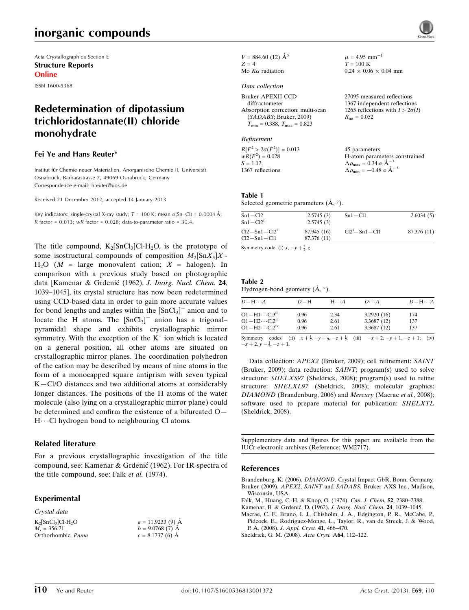# inorganic compounds

Acta Crystallographica Section E Structure Reports Online

ISSN 1600-5368

## Redetermination of dipotassium trichloridostannate(II) chloride monohydrate

#### Fei Ye and Hans Reuter\*

Institut für Chemie neuer Materialien, Anorganische Chemie II, Universität Osnabrück, Barbarastrasse 7, 49069 Osnabrück, Germany Correspondence e-mail: [hreuter@uos.de](https://scripts.iucr.org/cgi-bin/cr.cgi?rm=pdfbb&cnor=wm2717&bbid=BB6)

Received 21 December 2012; accepted 14 January 2013

Key indicators: single-crystal X-ray study; T = 100 K; mean  $\sigma$ (Sn–Cl) = 0.0004 Å; R factor =  $0.013$ ; wR factor =  $0.028$ ; data-to-parameter ratio =  $30.4$ .

The title compound,  $K_2$ [SnCl<sub>3</sub>]Cl·H<sub>2</sub>O, is the prototype of some isostructural compounds of composition  $M_2[\text{Sn}X_3]X$ - $H<sub>2</sub>O$  (*M* = large monovalent cation; *X* = halogen). In comparison with a previous study based on photographic data [Kamenar & Grdenić (1962). J. Inorg. Nucl. Chem. 24, 1039–1045], its crystal structure has now been redetermined using CCD-based data in order to gain more accurate values for bond lengths and angles within the  $[\text{SnCl}_3]$ <sup>-</sup> anion and to locate the H atoms. The  $[\text{SnCl}_3]$ <sup>-</sup> anion has a trigonalpyramidal shape and exhibits crystallographic mirror symmetry. With the exception of the  $K^+$  ion which is located on a general position, all other atoms are situated on crystallographic mirror planes. The coordination polyhedron of the cation may be described by means of nine atoms in the form of a monocapped square antiprism with seven typical K—Cl/O distances and two additional atoms at considerably longer distances. The positions of the H atoms of the water molecule (also lying on a crystallographic mirror plane) could be determined and confirm the existence of a bifurcated O— H. Cl hydrogen bond to neighbouring Cl atoms.

#### Related literature

For a previous crystallographic investigation of the title compound, see: Kamenar & Grdenic´ (1962). For IR-spectra of the title compound, see: Falk et al. (1974).

#### Experimental Crystal data

| Crystai aata                                  |                    |
|-----------------------------------------------|--------------------|
| $K_2$ [SnCl <sub>3</sub> ]Cl·H <sub>2</sub> O | $a = 11.9233(9)$ Å |
| $M_r = 356.71$                                | $b = 9.0768(7)$ A  |
| Orthorhombic, Pnma                            | $c = 8.1737(6)$ A  |

 $V = 884.60$  (12)  $\AA^3$  $Z - 4$ Mo  $K\alpha$  radiation

#### Data collection

#### Refinement

| $R[F^2 > 2\sigma(F^2)] = 0.013$ | 45 parameters                                      |
|---------------------------------|----------------------------------------------------|
| $wR(F^2) = 0.028$               | H-atom parameters constrained                      |
| $S = 1.12$                      | $\Delta \rho_{\text{max}} = 0.34 \text{ e A}^{-3}$ |
| 1367 reflections                | $\Delta \rho_{\text{min}} = -0.48$ e $\AA^{-3}$    |

 $\mu$  = 4.95 mm<sup>-1</sup>  $T = 100 \text{ K}$ 

 $R_{\rm int} = 0.052$ 

 $0.24 \times 0.06 \times 0.04$  mm

27095 measured reflections 1367 independent reflections 1265 reflections with  $I > 2\sigma(I)$ 

#### Table 1

Selected geometric parameters  $(\mathring{A}, \degree)$ .

| $Sn1 - Cl2$<br>$Sn1 - Cl2i$                 | 2.5745(3)<br>2.5745(3)     | $Sn1 - Cl1$        | 2.6034(5)   |
|---------------------------------------------|----------------------------|--------------------|-------------|
| $Cl2-Sn1-Cl2$ <sup>1</sup><br>$Cl2-Sn1-Cl1$ | 87.945 (16)<br>87.376 (11) | $Cl2i - Sn1 - Cl1$ | 87.376 (11) |
|                                             |                            |                    |             |

Symmetry code: (i)  $x, -y + \frac{3}{2}, z$ .

#### Table 2 Hydrogen-bond geometry  $(\mathring{A}, \degree)$ .

| $D - H \cdots A$                    | $D-H$ | $H\cdots A$ | $D\cdots A$ | $D$ -H $\cdots$ A |
|-------------------------------------|-------|-------------|-------------|-------------------|
| $O1 - H1 \cdots Cl3ii$              | 0.96  | 2.34        | 3.2920(16)  | 174               |
| $O1 - H2 \cdots Cl2$ <sup>iii</sup> | 0.96  | 2.61        | 3.3687(12)  | 137               |
| $O1 - H2 \cdots Cl2^{iv}$           | 0.96  | 2.61        | 3.3687(12)  | 137               |

Symmetry codes: (ii)  $x + \frac{1}{2}$ ,  $-y + \frac{1}{2}$ ,  $-z + \frac{1}{2}$ ; (iii)  $-x + 2$ ,  $-y + 1$ ,  $-z + 1$ ; (iv)  $-x + 2$ ,  $y - \frac{1}{2}$ ,  $-z + 1$ .

Data collection: APEX2 (Bruker, 2009); cell refinement: SAINT (Bruker, 2009); data reduction: SAINT; program(s) used to solve structure: SHELXS97 (Sheldrick, 2008); program(s) used to refine structure: SHELXL97 (Sheldrick, 2008); molecular graphics: DIAMOND (Brandenburg, 2006) and Mercury (Macrae et al., 2008); software used to prepare material for publication: SHELXTL (Sheldrick, 2008).

Supplementary data and figures for this paper are available from the IUCr electronic archives (Reference: WM2717).

#### References

Brandenburg, K. (2006). DIAMOND[. Crystal Impact GbR, Bonn, Germany.](https://scripts.iucr.org/cgi-bin/cr.cgi?rm=pdfbb&cnor=wm2717&bbid=BB1) Bruker (2009). APEX2, SAINT and SADABS[. Bruker AXS Inc., Madison,](https://scripts.iucr.org/cgi-bin/cr.cgi?rm=pdfbb&cnor=wm2717&bbid=BB2) [Wisconsin, USA.](https://scripts.iucr.org/cgi-bin/cr.cgi?rm=pdfbb&cnor=wm2717&bbid=BB2)

- [Falk, M., Huang, C.-H. & Knop, O. \(1974\).](https://scripts.iucr.org/cgi-bin/cr.cgi?rm=pdfbb&cnor=wm2717&bbid=BB3) Can. J. Chem. 52, 2380–2388.
- Kamenar, B. & Grdenić, D. (1962). J. Inorg. Nucl. Chem. 24, 1039-1045.
- [Macrae, C. F., Bruno, I. J., Chisholm, J. A., Edgington, P. R., McCabe, P.,](https://scripts.iucr.org/cgi-bin/cr.cgi?rm=pdfbb&cnor=wm2717&bbid=BB5) [Pidcock, E., Rodriguez-Monge, L., Taylor, R., van de Streek, J. & Wood,](https://scripts.iucr.org/cgi-bin/cr.cgi?rm=pdfbb&cnor=wm2717&bbid=BB5) P. A. (2008). [J. Appl. Cryst.](https://scripts.iucr.org/cgi-bin/cr.cgi?rm=pdfbb&cnor=wm2717&bbid=BB5) 41, 466–470.
- [Sheldrick, G. M. \(2008\).](https://scripts.iucr.org/cgi-bin/cr.cgi?rm=pdfbb&cnor=wm2717&bbid=BB6) Acta Cryst. A64, 112–122.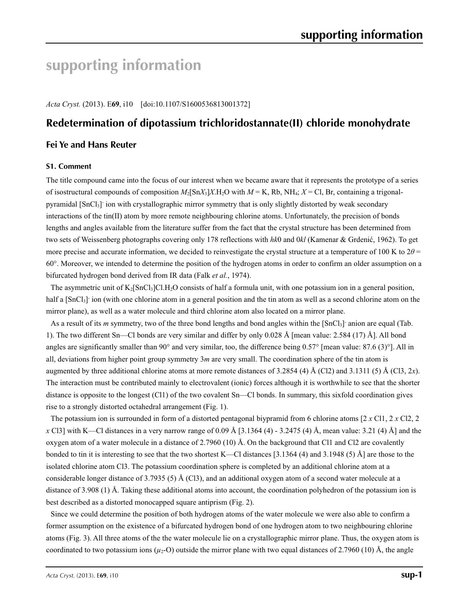# **supporting information**

*Acta Cryst.* (2013). E**69**, i10 [doi:10.1107/S1600536813001372]

## **Redetermination of dipotassium trichloridostannate(II) chloride monohydrate**

## **Fei Ye and Hans Reuter**

#### **S1. Comment**

The title compound came into the focus of our interest when we became aware that it represents the prototype of a series of isostructural compounds of composition  $M_2[SnX_3]X.H_2O$  with  $M = K$ , Rb, NH<sub>4</sub>;  $X = Cl$ , Br, containing a trigonalpyramidal [SnCl<sub>3</sub>] ion with crystallographic mirror symmetry that is only slightly distorted by weak secondary interactions of the tin(II) atom by more remote neighbouring chlorine atoms. Unfortunately, the precision of bonds lengths and angles available from the literature suffer from the fact that the crystal structure has been determined from two sets of Weissenberg photographs covering only 178 reflections with *hk*0 and 0*kl* (Kamenar & Grdenić, 1962). To get more precise and accurate information, we decided to reinvestigate the crystal structure at a temperature of 100 K to  $2\theta$  = 60°. Moreover, we intended to determine the position of the hydrogen atoms in order to confirm an older assumption on a bifurcated hydrogen bond derived from IR data (Falk *et al.*, 1974).

The asymmetric unit of  $K_2[SnCl_3]Cl.H_2O$  consists of half a formula unit, with one potassium ion in a general position, half a  $[SnCl<sub>3</sub>]$  ion (with one chlorine atom in a general position and the tin atom as well as a second chlorine atom on the mirror plane), as well as a water molecule and third chlorine atom also located on a mirror plane.

As a result of its *m* symmetry, two of the three bond lengths and bond angles within the [SnCl<sub>3</sub>] anion are equal (Tab. 1). The two different Sn—Cl bonds are very similar and differ by only 0.028 Å [mean value: 2.584 (17) Å]. All bond angles are significantly smaller than 90 $^{\circ}$  and very similar, too, the difference being 0.57 $^{\circ}$  [mean value: 87.6 (3) $^{\circ}$ ]. All in all, deviations from higher point group symmetry 3*m* are very small. The coordination sphere of the tin atom is augmented by three additional chlorine atoms at more remote distances of 3.2854 (4) Å (Cl2) and 3.1311 (5) Å (Cl3, 2*x*). The interaction must be contributed mainly to electrovalent (ionic) forces although it is worthwhile to see that the shorter distance is opposite to the longest (Cl1) of the two covalent Sn—Cl bonds. In summary, this sixfold coordination gives rise to a strongly distorted octahedral arrangement (Fig. 1).

The potassium ion is surrounded in form of a distorted pentagonal biypramid from 6 chlorine atoms [2 *x* Cl1, 2 *x* Cl2, 2 *x* Cl3] with K—Cl distances in a very narrow range of 0.09 Å [3.1364 (4) - 3.2475 (4) Å, mean value: 3.21 (4) Å] and the oxygen atom of a water molecule in a distance of 2.7960 (10) Å. On the background that Cl1 and Cl2 are covalently bonded to tin it is interesting to see that the two shortest K—Cl distances [3.1364 (4) and 3.1948 (5) Å] are those to the isolated chlorine atom Cl3. The potassium coordination sphere is completed by an additional chlorine atom at a considerable longer distance of 3.7935 (5) Å (Cl3), and an additional oxygen atom of a second water molecule at a distance of 3.908 (1) Å. Taking these additional atoms into account, the coordination polyhedron of the potassium ion is best described as a distorted monocapped square antiprism (Fig. 2).

Since we could determine the position of both hydrogen atoms of the water molecule we were also able to confirm a former assumption on the existence of a bifurcated hydrogen bond of one hydrogen atom to two neighbouring chlorine atoms (Fig. 3). All three atoms of the the water molecule lie on a crystallographic mirror plane. Thus, the oxygen atom is coordinated to two potassium ions  $(\mu_2$ -O) outside the mirror plane with two equal distances of 2.7960 (10) Å, the angle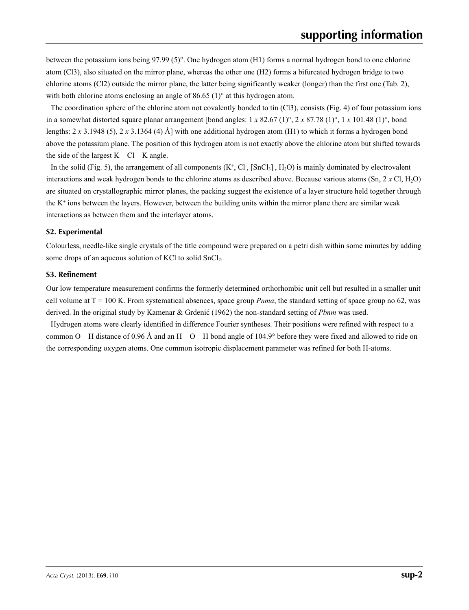between the potassium ions being 97.99 (5)°. One hydrogen atom (H1) forms a normal hydrogen bond to one chlorine atom (Cl3), also situated on the mirror plane, whereas the other one (H2) forms a bifurcated hydrogen bridge to two chlorine atoms (Cl2) outside the mirror plane, the latter being significantly weaker (longer) than the first one (Tab. 2), with both chlorine atoms enclosing an angle of 86.65 (1) $\degree$  at this hydrogen atom.

The coordination sphere of the chlorine atom not covalently bonded to tin (Cl3), consists (Fig. 4) of four potassium ions in a somewhat distorted square planar arrangement [bond angles: 1 *x* 82.67 (1)°, 2 *x* 87.78 (1)°, 1 *x* 101.48 (1)°, bond lengths: 2 *x* 3.1948 (5), 2 *x* 3.1364 (4) Å] with one additional hydrogen atom (H1) to which it forms a hydrogen bond above the potassium plane. The position of this hydrogen atom is not exactly above the chlorine atom but shifted towards the side of the largest K—Cl—K angle.

In the solid (Fig. 5), the arrangement of all components  $(K^+, Cl^-, [SnCl_3]^-, H_2O)$  is mainly dominated by electrovalent interactions and weak hydrogen bonds to the chlorine atoms as described above. Because various atoms  $(Sn, 2 \times Cl, H_2O)$ are situated on crystallographic mirror planes, the packing suggest the existence of a layer structure held together through the  $K<sup>+</sup>$  ions between the layers. However, between the building units within the mirror plane there are similar weak interactions as between them and the interlayer atoms.

### **S2. Experimental**

Colourless, needle-like single crystals of the title compound were prepared on a petri dish within some minutes by adding some drops of an aqueous solution of KCl to solid SnCl<sub>2</sub>.

### **S3. Refinement**

Our low temperature measurement confirms the formerly determined orthorhombic unit cell but resulted in a smaller unit cell volume at  $T = 100$  K. From systematical absences, space group *Pnma*, the standard setting of space group no 62, was derived. In the original study by Kamenar & Grdenić (1962) the non-standard setting of *Pbnm* was used.

Hydrogen atoms were clearly identified in difference Fourier syntheses. Their positions were refined with respect to a common O—H distance of 0.96 Å and an H—O—H bond angle of 104.9° before they were fixed and allowed to ride on the corresponding oxygen atoms. One common isotropic displacement parameter was refined for both H-atoms.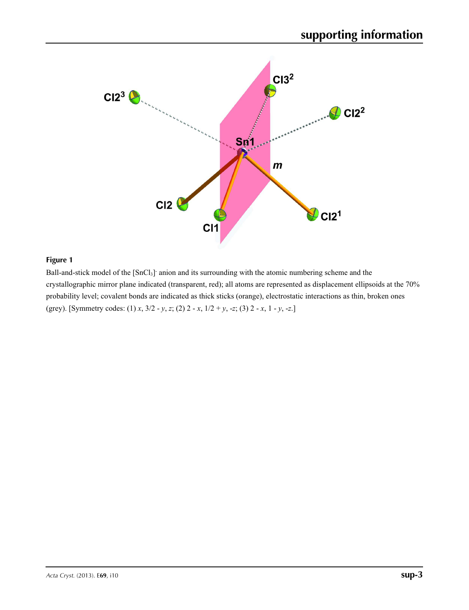

Ball-and-stick model of the [SnCl<sub>3</sub>] anion and its surrounding with the atomic numbering scheme and the crystallographic mirror plane indicated (transparent, red); all atoms are represented as displacement ellipsoids at the 70% probability level; covalent bonds are indicated as thick sticks (orange), electrostatic interactions as thin, broken ones (grey). [Symmetry codes: (1) *x*, 3/2 - *y*, *z*; (2) 2 - *x*, 1/2 + *y*, -*z*; (3) 2 - *x*, 1 - *y*, -*z*.]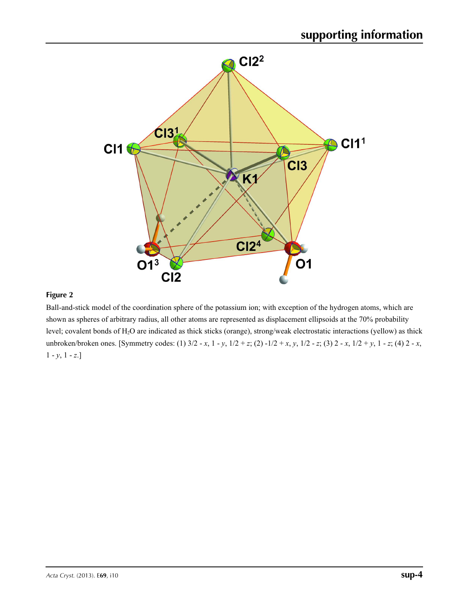

Ball-and-stick model of the coordination sphere of the potassium ion; with exception of the hydrogen atoms, which are shown as spheres of arbitrary radius, all other atoms are represented as displacement ellipsoids at the 70% probability level; covalent bonds of H<sub>2</sub>O are indicated as thick sticks (orange), strong/weak electrostatic interactions (yellow) as thick unbroken/broken ones. [Symmetry codes: (1) 3/2 - *x*, 1 - *y*, 1/2 + *z*; (2) -1/2 + *x*, *y*, 1/2 - *z*; (3) 2 - *x*, 1/2 + *y*, 1 - *z*; (4) 2 - *x*,  $1 - y$ ,  $1 - z$ .]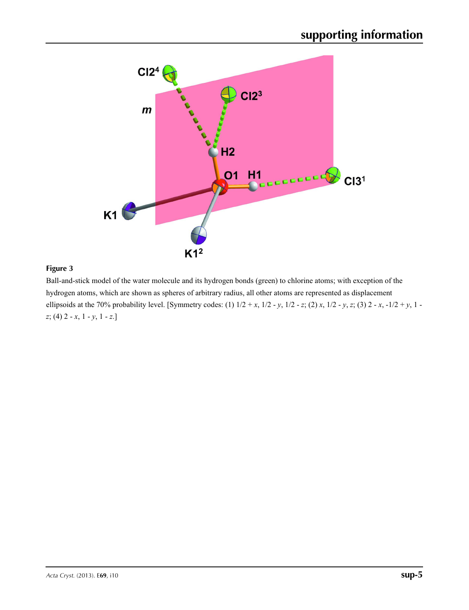

Ball-and-stick model of the water molecule and its hydrogen bonds (green) to chlorine atoms; with exception of the hydrogen atoms, which are shown as spheres of arbitrary radius, all other atoms are represented as displacement ellipsoids at the 70% probability level. [Symmetry codes: (1)  $1/2 + x$ ,  $1/2 - y$ ,  $1/2 - z$ ; (2) *x*,  $1/2 - y$ ,  $z$ ; (3) 2 - *x*,  $-1/2 + y$ , 1 *z*; (4) 2 - *x*, 1 - *y*, 1 - *z*.]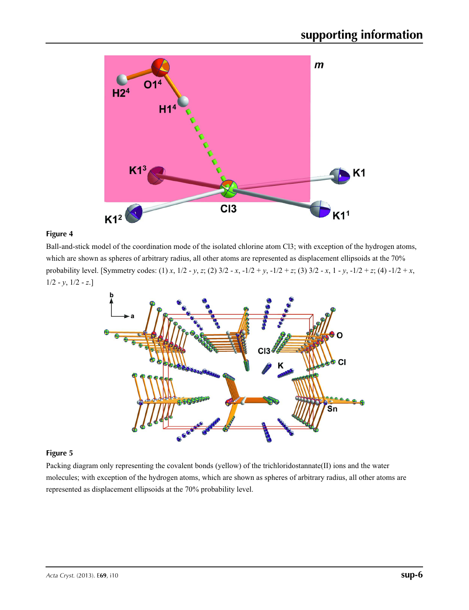

Ball-and-stick model of the coordination mode of the isolated chlorine atom Cl3; with exception of the hydrogen atoms, which are shown as spheres of arbitrary radius, all other atoms are represented as displacement ellipsoids at the 70% probability level. [Symmetry codes: (1) *x*, 1/2 - *y*, *z*; (2) 3/2 - *x*, -1/2 + *y*, -1/2 + *z*; (3) 3/2 - *x*, 1 - *y*, -1/2 + *z*; (4) -1/2 + *x*,  $1/2 - y$ ,  $1/2 - z$ .]



## **Figure 5**

Packing diagram only representing the covalent bonds (yellow) of the trichloridostannate(II) ions and the water molecules; with exception of the hydrogen atoms, which are shown as spheres of arbitrary radius, all other atoms are represented as displacement ellipsoids at the 70% probability level.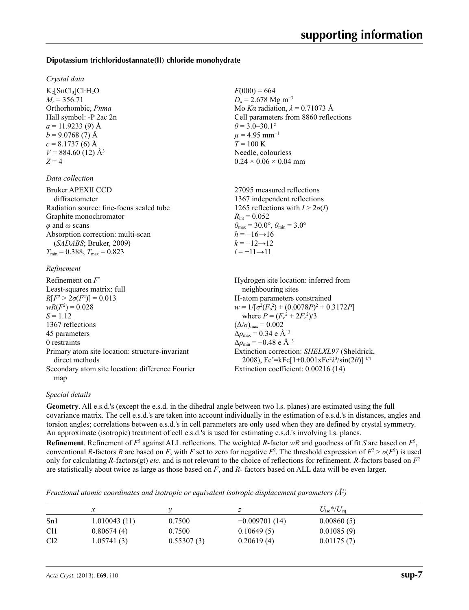### **Dipotassium trichloridostannate(II) chloride monohydrate**

#### *Crystal data*

 $K_2$ [SnCl<sub>3</sub>]Cl·H<sub>2</sub>O  $M_r = 356.71$ Orthorhombic, *Pnma* Hall symbol: -P 2ac 2n  $a = 11.9233(9)$  Å  $b = 9.0768(7)$  Å  $c = 8.1737(6)$  Å  $V = 884.60$  (12) Å<sup>3</sup>  $Z = 4$ 

#### *Data collection*

| <b>Bruker APEXII CCD</b>                 |
|------------------------------------------|
| diffractometer                           |
| Radiation source: fine-focus sealed tube |
| Graphite monochromator                   |
| $\varphi$ and $\omega$ scans             |
| Absorption correction: multi-scan        |
| (SADABS; Bruker, 2009)                   |
| $T_{\min} = 0.388$ , $T_{\max} = 0.823$  |
|                                          |

#### *Refinement*

| Refinement on $F^2$                                               | Hydrogen site location: inferred from                                                                         |
|-------------------------------------------------------------------|---------------------------------------------------------------------------------------------------------------|
| Least-squares matrix: full                                        | neighbouring sites                                                                                            |
| $R[F^2 > 2\sigma(F^2)] = 0.013$                                   | H-atom parameters constrained                                                                                 |
| $wR(F^2) = 0.028$                                                 | $w = 1/[\sigma^2(F_0^2) + (0.0078P)^2 + 0.3172P]$                                                             |
| $S = 1.12$                                                        | where $P = (F_o^2 + 2F_c^2)/3$                                                                                |
| 1367 reflections                                                  | $(\Delta/\sigma)_{\text{max}} = 0.002$                                                                        |
| 45 parameters                                                     | $\Delta \rho_{\text{max}} = 0.34 \text{ e A}^{-3}$                                                            |
| 0 restraints                                                      | $\Delta \rho_{\rm min} = -0.48$ e Å <sup>-3</sup>                                                             |
| Primary atom site location: structure-invariant<br>direct methods | Extinction correction: SHELXL97 (Sheldrick,<br>2008), $Fc^* = kFc[1+0.001xFc^2\lambda^3/sin(2\theta)]^{-1/4}$ |
| Secondary atom site location: difference Fourier                  | Extinction coefficient: 0.00216 (14)                                                                          |
| map                                                               |                                                                                                               |

#### *Special details*

**Geometry**. All e.s.d.'s (except the e.s.d. in the dihedral angle between two l.s. planes) are estimated using the full covariance matrix. The cell e.s.d.'s are taken into account individually in the estimation of e.s.d.'s in distances, angles and torsion angles; correlations between e.s.d.'s in cell parameters are only used when they are defined by crystal symmetry. An approximate (isotropic) treatment of cell e.s.d.'s is used for estimating e.s.d.'s involving l.s. planes.

 $F(000) = 664$  $D_x$  = 2.678 Mg m<sup>-3</sup>

 $\theta$  = 3.0–30.1°  $\mu$  = 4.95 mm<sup>-1</sup>  $T = 100 \text{ K}$ 

 $R_{\text{int}} = 0.052$ 

 $h = -16 \rightarrow 16$  $k = -12 \rightarrow 12$ *l* = −11→11

Needle, colourless  $0.24 \times 0.06 \times 0.04$  mm

27095 measured reflections 1367 independent reflections 1265 reflections with  $I > 2\sigma(I)$ 

 $\theta_{\text{max}} = 30.0^{\circ}, \theta_{\text{min}} = 3.0^{\circ}$ 

Mo *Kα* radiation, *λ* = 0.71073 Å Cell parameters from 8860 reflections

**Refinement**. Refinement of  $F^2$  against ALL reflections. The weighted *R*-factor  $wR$  and goodness of fit *S* are based on  $F^2$ , conventional *R*-factors *R* are based on *F*, with *F* set to zero for negative  $F^2$ . The threshold expression of  $F^2 > \sigma(F^2)$  is used only for calculating *R*-factors(gt) *etc*. and is not relevant to the choice of reflections for refinement. *R*-factors based on *F*<sup>2</sup> are statistically about twice as large as those based on *F*, and *R*- factors based on ALL data will be even larger.

*Fractional atomic coordinates and isotropic or equivalent isotropic displacement parameters (Å<sup>2</sup>)* 

|                 |              |            | ∠               | $U_{\rm iso}*/U_{\rm eq}$ |
|-----------------|--------------|------------|-----------------|---------------------------|
| Sn1             | 1.010043(11) | 0.7500     | $-0.009701(14)$ | 0.00860(5)                |
| C <sub>11</sub> | 0.80674(4)   | 0.7500     | 0.10649(5)      | 0.01085(9)                |
| C <sub>12</sub> | 1.05741(3)   | 0.55307(3) | 0.20619(4)      | 0.01175(7)                |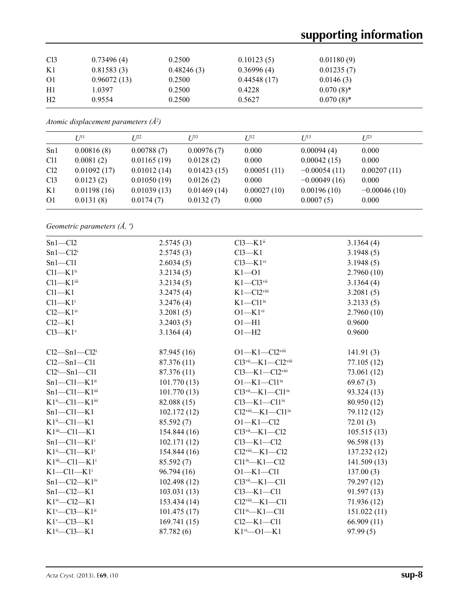| Cl <sub>3</sub> | 0.73496(4)  | 0.2500     | 0.10123(5)  | 0.01180(9)   |
|-----------------|-------------|------------|-------------|--------------|
| K1              | 0.81583(3)  | 0.48246(3) | 0.36996(4)  | 0.01235(7)   |
| <sup>O1</sup>   | 0.96072(13) | 0.2500     | 0.44548(17) | 0.0146(3)    |
| H1              | 1.0397      | 0.2500     | 0.4228      | $0.070(8)$ * |
| H <sub>2</sub>  | 0.9554      | 0.2500     | 0.5627      | $0.070(8)$ * |
|                 |             |            |             |              |

*Atomic displacement parameters (Å2 )*

|                 | $U^{11}$    | $I^{22}$    | $I^{\beta 3}$ | $I/I^2$     | $I/I^3$        | $I^{23}$       |
|-----------------|-------------|-------------|---------------|-------------|----------------|----------------|
| Sn1             | 0.00816(8)  | 0.00788(7)  | 0.00976(7)    | 0.000       | 0.00094(4)     | 0.000          |
| C <sub>11</sub> | 0.0081(2)   | 0.01165(19) | 0.0128(2)     | 0.000       | 0.00042(15)    | 0.000          |
| Cl <sub>2</sub> | 0.01092(17) | 0.01012(14) | 0.01423(15)   | 0.00051(11) | $-0.00054(11)$ | 0.00207(11)    |
| Cl <sub>3</sub> | 0.0123(2)   | 0.01050(19) | 0.0126(2)     | 0.000       | $-0.00049(16)$ | 0.000          |
| K1              | 0.01198(16) | 0.01039(13) | 0.01469(14)   | 0.00027(10) | 0.00196(10)    | $-0.00046(10)$ |
| O <sub>1</sub>  | 0.0131(8)   | 0.0174(7)   | 0.0132(7)     | 0.000       | 0.0007(5)      | 0.000          |

*Geometric parameters (Å, º)*

| $Sn1-C12$                                | 2.5745(3)   | $Cl3-K1ii$                                   | 3.1364(4)    |
|------------------------------------------|-------------|----------------------------------------------|--------------|
| $Sn1-C12i$                               | 2.5745(3)   | $Cl3-K1$                                     | 3.1948(5)    |
| $Sn1 - Cl1$                              | 2.6034(5)   | $Cl3-K1$ <sup>vi</sup>                       | 3.1948(5)    |
| $Cl1-K1ii$                               | 3.2134(5)   | $K1 - 01$                                    | 2.7960(10)   |
| $Cl1-K1$ <sup>iii</sup>                  | 3.2134(5)   | $K1 - C13$ <sup>vii</sup>                    | 3.1364(4)    |
| $Cl1-K1$                                 | 3.2475(4)   | $K1 - C12$ viii                              | 3.2081(5)    |
| $Cl1-K1i$                                | 3.2476(4)   | $K1-C11$ <sup>ix</sup>                       | 3.2133(5)    |
| $Cl2-K1iv$                               | 3.2081(5)   | $O1-K1$ <sup>vi</sup>                        | 2.7960(10)   |
| $Cl2-K1$                                 | 3.2403(5)   | $O1 - H1$                                    | 0.9600       |
| $Cl3-K1v$                                | 3.1364(4)   | $O1 - H2$                                    | 0.9600       |
| $Cl2-Sn1-Cl2i$                           | 87.945 (16) | $O1 - K1 - Cl2$ <sup>viii</sup>              | 141.91(3)    |
| $Cl2-Sn1-Cl1$                            | 87.376 (11) | $Cl3$ <sup>vii</sup> —K1—Cl2 <sup>viii</sup> | 77.105 (12)  |
| $Cl2^i$ -Sn1-Cl1                         | 87.376 (11) | $Cl3-K1-Cl2$ <sup>viii</sup>                 | 73.061 (12)  |
| $Sn1-C11-K1ii$                           | 101.770(13) | $O1-K1-C11$ <sup>ix</sup>                    | 69.67(3)     |
| $Sn1-C11-K1$ iii                         | 101.770(13) | $Cl3vi$ -K1-Cl1 <sup>ix</sup>                | 93.324 (13)  |
| $K1^{ii}$ - $Cl1$ - $K1^{iii}$           | 82.088(15)  | $Cl3-K1-Cl1ix$                               | 80.950 (12)  |
| $Sn1 - Cl1 - K1$                         | 102.172(12) | $Cl2$ <sup>viii</sup> —K1—Cl1 <sup>ix</sup>  | 79.112 (12)  |
| $K1^{ii}$ -Cl1-K1                        | 85.592(7)   | $O1 - K1 - Cl2$                              | 72.01(3)     |
| $K1$ iii— $Cl1$ — $K1$                   | 154.844(16) | $Cl3vi$ -K1-Cl2                              | 105.515(13)  |
| $Sn1 - Cl1 - K1$ <sup>i</sup>            | 102.171(12) | $Cl3-K1-Cl2$                                 | 96.598 (13)  |
| $K1^{ii}$ -Cl1-K1 <sup>i</sup>           | 154.844(16) | $Cl2$ <sup>viii</sup> -K1-Cl2                | 137.232 (12) |
| $K1$ <sup>iii</sup> —Cl1—K1 <sup>i</sup> | 85.592(7)   | $Cl1^{ix}$ —K1—Cl2                           | 141.509(13)  |
| $K1-C11-K1$ <sup>i</sup>                 | 96.794(16)  | $O1 - K1 - Cl1$                              | 137.00(3)    |
| $Sn1-C12-K1iv$                           | 102.498(12) | $Cl3vi$ -K1-Cl1                              | 79.297 (12)  |
| $Sn1-C12-K1$                             | 103.031(13) | $Cl3-K1-Cl1$                                 | 91.597(13)   |
| $K1^{\text{iv}}$ -Cl2-K1                 | 153.434(14) | $Cl2$ <sup>viii</sup> -K1-Cl1                | 71.936 (12)  |
| $K1^v$ —Cl3— $K1$ <sup>ii</sup>          | 101.475(17) | $Cl1^{ix}$ -K1-Cl1                           | 151.022(11)  |
| $K1$ <sup>v</sup> -Cl3-K1                | 169.741(15) | $Cl2-K1-Cl1$                                 | 66.909(11)   |
| $K1^{ii}$ -Cl3-K1                        | 87.782 (6)  | $K1$ <sup>vi</sup> - O1 - K1                 | 97.99(5)     |
|                                          |             |                                              |              |